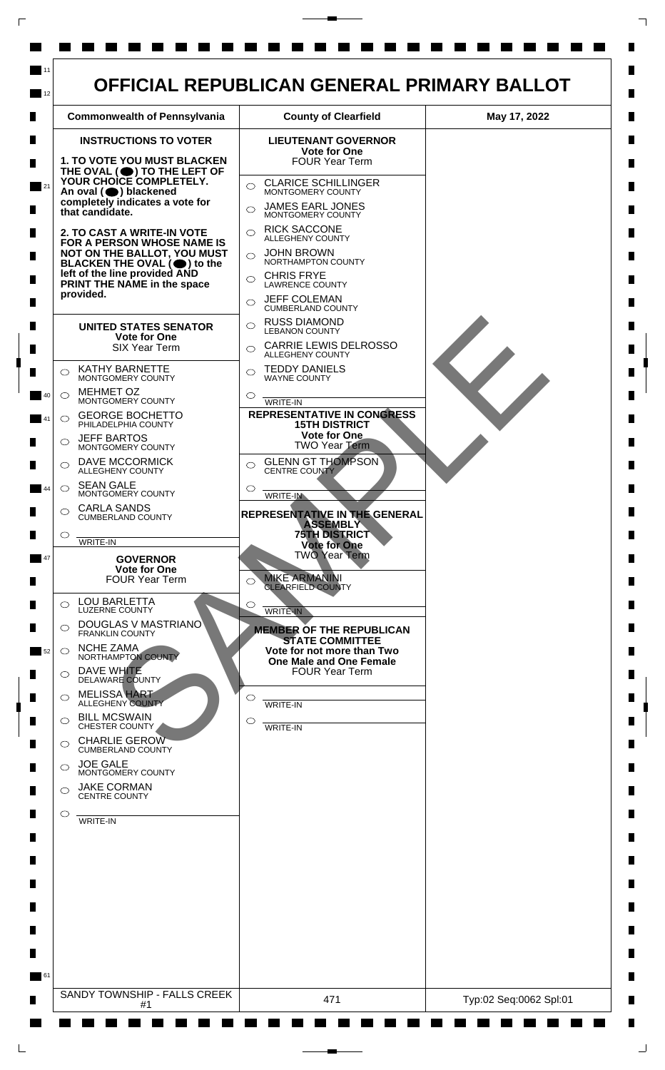

 $\Box$